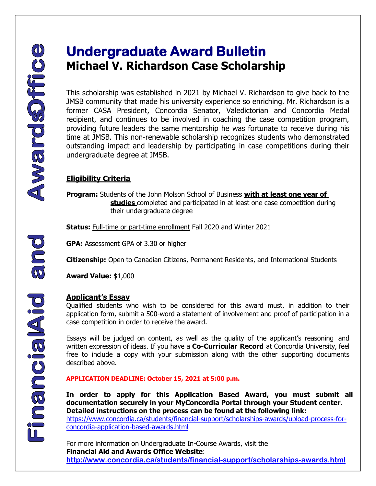## **Undergraduate Award Bulletin Michael V. Richardson Case Scholarship**

This scholarship was established in 2021 by Michael V. Richardson to give back to the JMSB community that made his university experience so enriching. Mr. Richardson is a former CASA President, Concordia Senator, Valedictorian and Concordia Medal recipient, and continues to be involved in coaching the case competition program, providing future leaders the same mentorship he was fortunate to receive during his time at JMSB. This non-renewable scholarship recognizes students who demonstrated outstanding impact and leadership by participating in case competitions during their undergraduate degree at JMSB.

## **Eligibility Criteria**

**Program:** Students of the John Molson School of Business **with at least one year of studies** completed and participated in at least one case competition during their undergraduate degree

**Status:** Full-time or part-time enrollment Fall 2020 and Winter 2021

**GPA:** Assessment GPA of 3.30 or higher

**Citizenship:** Open to Canadian Citizens, Permanent Residents, and International Students

**Award Value:** \$1,000

## **Applicant's Essay**

Qualified students who wish to be considered for this award must, in addition to their application form, submit a 500-word a statement of involvement and proof of participation in a case competition in order to receive the award.

Essays will be judged on content, as well as the quality of the applicant's reasoning and written expression of ideas. If you have a **Co-Curricular Record** at Concordia University, feel free to include a copy with your submission along with the other supporting documents described above.

**APPLICATION DEADLINE: October 15, 2021 at 5:00 p.m.**

[https://www.concordia.ca/students/financial-support/scholarships-awards/upload-process-for-](https://www.concordia.ca/students/financial-support/scholarships-awards/upload-process-for-concordia-application-based-awards.html)**In order to apply for this Application Based Award, you must submit all documentation securely in your MyConcordia Portal through your Student center. Detailed instructions on the process can be found at the following link:** 

[concordia-application-based-awards.html](https://www.concordia.ca/students/financial-support/scholarships-awards/upload-process-for-concordia-application-based-awards.html) 

For more information on Undergraduate In-Course Awards, visit the **Financial Aid and Awards Office Website**: **<http://www.concordia.ca/students/financial-support/scholarships-awards.html>**